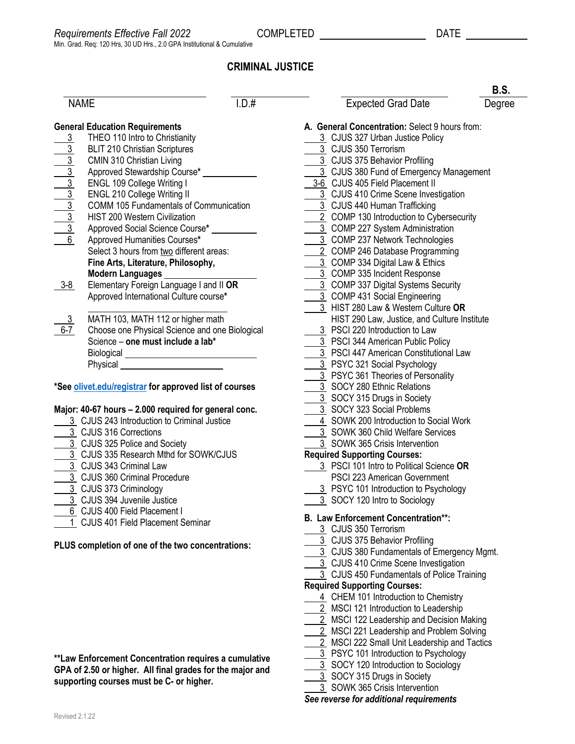# **CRIMINAL JUSTICE**

| \ML<br>μ |
|----------|
|----------|

|                                                        | <b>General Education Requirements</b>          |  |  |  |  |
|--------------------------------------------------------|------------------------------------------------|--|--|--|--|
| <u>3</u>                                               | THEO 110 Intro to Christianity                 |  |  |  |  |
|                                                        | <b>BLIT 210 Christian Scriptures</b>           |  |  |  |  |
|                                                        | CMIN 310 Christian Living                      |  |  |  |  |
|                                                        | Approved Stewardship Course*                   |  |  |  |  |
|                                                        | ENGL 109 College Writing I                     |  |  |  |  |
|                                                        | <b>ENGL 210 College Writing II</b>             |  |  |  |  |
|                                                        | <b>COMM 105 Fundamentals of Communication</b>  |  |  |  |  |
|                                                        | <b>HIST 200 Western Civilization</b>           |  |  |  |  |
| ما <mark>ده اده اده ا</mark> ده او ده ا                | Approved Social Science Course*                |  |  |  |  |
|                                                        | Approved Humanities Courses*                   |  |  |  |  |
|                                                        | Select 3 hours from two different areas:       |  |  |  |  |
|                                                        | Fine Arts, Literature, Philosophy,             |  |  |  |  |
|                                                        | Modern Languages                               |  |  |  |  |
| 3-8                                                    | Elementary Foreign Language I and II OR        |  |  |  |  |
|                                                        | Approved International Culture course*         |  |  |  |  |
|                                                        |                                                |  |  |  |  |
| $\frac{3}{6-7}$                                        | MATH 103, MATH 112 or higher math              |  |  |  |  |
|                                                        | Choose one Physical Science and one Biological |  |  |  |  |
|                                                        | Science - one must include a lab*              |  |  |  |  |
|                                                        | Biological _____                               |  |  |  |  |
|                                                        | Physical                                       |  |  |  |  |
|                                                        |                                                |  |  |  |  |
| *See olivet.edu/registrar for approved list of courses |                                                |  |  |  |  |

#### **Major: 40-67 hours – 2.000 required for general conc.**

- 3 CJUS 243 Introduction to Criminal Justice
- 3 CJUS 316 Corrections
- 3 CJUS 325 Police and Society
- 3 CJUS 335 Research Mthd for SOWK/CJUS
- 3 CJUS 343 Criminal Law
- 3 CJUS 360 Criminal Procedure
- 3 CJUS 373 Criminology
- 3 CJUS 394 Juvenile Justice
- 6 CJUS 400 Field Placement I
- 1 CJUS 401 Field Placement Seminar

### **PLUS completion of one of the two concentrations:**

| **Law Enforcement Concentration requires a cumulative     |
|-----------------------------------------------------------|
| GPA of 2.50 or higher. All final grades for the major and |
| supporting courses must be C- or higher.                  |

|                                                                                                                                   |       |                                                                                 | <b>B.S.</b> |
|-----------------------------------------------------------------------------------------------------------------------------------|-------|---------------------------------------------------------------------------------|-------------|
| <b>NAME</b>                                                                                                                       | I.D.# | Expected Grad Date                                                              | Degree      |
| eral Education Requirements                                                                                                       |       | A. General Concentration: Select 9 hours from:                                  |             |
| THEO 110 Intro to Christianity                                                                                                    |       | 3 CJUS 327 Urban Justice Policy                                                 |             |
| <b>BLIT 210 Christian Scriptures</b>                                                                                              |       | 3 CJUS 350 Terrorism                                                            |             |
| CMIN 310 Christian Living                                                                                                         |       | 3 CJUS 375 Behavior Profiling                                                   |             |
| Approved Stewardship Course* ____________                                                                                         |       | 3 CJUS 380 Fund of Emergency Management                                         |             |
| ENGL 109 College Writing I                                                                                                        |       | 3-6 CJUS 405 Field Placement II                                                 |             |
| <b>ENGL 210 College Writing II</b>                                                                                                |       | 3 CJUS 410 Crime Scene Investigation                                            |             |
| COMM 105 Fundamentals of Communication                                                                                            |       | 3 CJUS 440 Human Trafficking                                                    |             |
| HIST 200 Western Civilization                                                                                                     |       | 2 COMP 130 Introduction to Cybersecurity                                        |             |
| Approved Social Science Course* __________                                                                                        |       | 3 COMP 227 System Administration                                                |             |
| $\frac{3}{3}$ $\frac{3}{3}$ $\frac{3}{3}$ $\frac{3}{3}$ $\frac{3}{3}$ $\frac{3}{3}$ $\frac{3}{6}$<br>Approved Humanities Courses* |       | 3 COMP 237 Network Technologies                                                 |             |
| Select 3 hours from two different areas:                                                                                          |       | 2 COMP 246 Database Programming                                                 |             |
| Fine Arts, Literature, Philosophy,                                                                                                |       | 3 COMP 334 Digital Law & Ethics                                                 |             |
| Modern Languages                                                                                                                  |       | 3 COMP 335 Incident Response                                                    |             |
| Elementary Foreign Language I and II OR<br><u>8</u>                                                                               |       | 3 COMP 337 Digital Systems Security                                             |             |
| Approved International Culture course*                                                                                            |       | 3 COMP 431 Social Engineering                                                   |             |
|                                                                                                                                   |       | 3 HIST 280 Law & Western Culture OR                                             |             |
| MATH 103, MATH 112 or higher math                                                                                                 |       | HIST 290 Law, Justice, and Culture Institute                                    |             |
| Choose one Physical Science and one Biological                                                                                    |       | 3 PSCI 220 Introduction to Law                                                  |             |
| Science - one must include a lab*                                                                                                 |       | 3 PSCI 344 American Public Policy                                               |             |
|                                                                                                                                   |       | 3 PSCI 447 American Constitutional Law                                          |             |
| Biological __________________________________                                                                                     |       | 3 PSYC 321 Social Psychology                                                    |             |
|                                                                                                                                   |       | 3 PSYC 361 Theories of Personality                                              |             |
| e olivet.edu/registrar for approved list of courses                                                                               |       | 3 SOCY 280 Ethnic Relations                                                     |             |
|                                                                                                                                   |       | 3 SOCY 315 Drugs in Society                                                     |             |
| or: 40-67 hours - 2.000 required for general conc.                                                                                |       | 3 SOCY 323 Social Problems                                                      |             |
| 3 CJUS 243 Introduction to Criminal Justice                                                                                       |       | 4 SOWK 200 Introduction to Social Work                                          |             |
| 3 CJUS 316 Corrections                                                                                                            |       | 3 SOWK 360 Child Welfare Services                                               |             |
| 3 CJUS 325 Police and Society                                                                                                     |       | 3 SOWK 365 Crisis Intervention                                                  |             |
| 3 CJUS 335 Research Mthd for SOWK/CJUS                                                                                            |       |                                                                                 |             |
| 3 CJUS 343 Criminal Law                                                                                                           |       | <b>Required Supporting Courses:</b><br>3 PSCI 101 Intro to Political Science OR |             |
| 3 CJUS 360 Criminal Procedure                                                                                                     |       |                                                                                 |             |
| 3 CJUS 373 Criminology                                                                                                            |       | PSCI 223 American Government                                                    |             |
|                                                                                                                                   |       | 3 PSYC 101 Introduction to Psychology                                           |             |
| 3 CJUS 394 Juvenile Justice                                                                                                       |       | 3 SOCY 120 Intro to Sociology                                                   |             |
| 6 CJUS 400 Field Placement I                                                                                                      |       | <b>B. Law Enforcement Concentration**:</b>                                      |             |
| 1 CJUS 401 Field Placement Seminar                                                                                                |       | 3 CJUS 350 Terrorism                                                            |             |
|                                                                                                                                   |       | 3 CJUS 375 Behavior Profiling                                                   |             |
| IS completion of one of the two concentrations:                                                                                   |       | 3 CJUS 380 Fundamentals of Emergency Mgmt.                                      |             |
|                                                                                                                                   |       | 3 CJUS 410 Crime Scene Investigation                                            |             |
|                                                                                                                                   |       | 3 CJUS 450 Fundamentals of Police Training                                      |             |
|                                                                                                                                   |       | <b>Required Supporting Courses:</b>                                             |             |
|                                                                                                                                   |       | 4 CHEM 101 Introduction to Chemistry                                            |             |
|                                                                                                                                   |       | 2 MSCI 121 Introduction to Leadership                                           |             |
|                                                                                                                                   |       | 2 MSCI 122 Leadership and Decision Making                                       |             |
|                                                                                                                                   |       | 2 MSCI 221 Leadership and Problem Solving                                       |             |
|                                                                                                                                   |       | 2 MSCI 222 Small Unit Leadership and Tactics                                    |             |
|                                                                                                                                   |       | 3 PSYC 101 Introduction to Psychology                                           |             |
| w Enforcement Concentration requires a cumulative                                                                                 |       | 3 SOCY 120 Introduction to Sociology                                            |             |
| A of 2.50 or higher. All final grades for the major and                                                                           |       |                                                                                 |             |
| porting courses must be C- or higher.                                                                                             |       | 3 SOCY 315 Drugs in Society                                                     |             |

3 SOWK 365 Crisis Intervention

*See reverse for additional requirements*